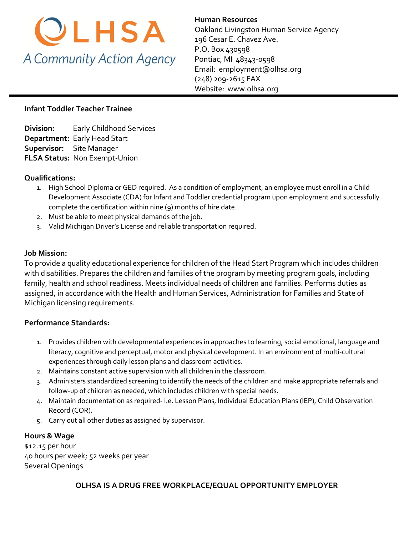

**Human Resources**  Oakland Livingston Human Service Agency 196 Cesar E. Chavez Ave. P.O. Box 430598 Pontiac, MI 48343-0598 Email: [employment@olhsa.org](mailto:Careers@olhsa.org) (248) 209-2615 FAX Website: www.olhsa.org

## **Infant Toddler Teacher Trainee**

**Division:** Early Childhood Services **Department:** Early Head Start **Supervisor:** Site Manager **FLSA Status:** Non Exempt-Union

#### **Qualifications:**

- 1. High School Diploma or GED required. As a condition of employment, an employee must enroll in a Child Development Associate (CDA) for Infant and Toddler credential program upon employment and successfully complete the certification within nine (9) months of hire date.
- 2. Must be able to meet physical demands of the job.
- 3. Valid Michigan Driver's License and reliable transportation required.

#### **Job Mission:**

To provide a quality educational experience for children of the Head Start Program which includes children with disabilities. Prepares the children and families of the program by meeting program goals, including family, health and school readiness. Meets individual needs of children and families. Performs duties as assigned, in accordance with the Health and Human Services, Administration for Families and State of Michigan licensing requirements.

### **Performance Standards:**

- 1. Provides children with developmental experiences in approaches to learning, social emotional, language and literacy, cognitive and perceptual, motor and physical development. In an environment of multi-cultural experiences through daily lesson plans and classroom activities.
- 2. Maintains constant active supervision with all children in the classroom.
- 3. Administers standardized screening to identify the needs of the children and make appropriate referrals and follow-up of children as needed, which includes children with special needs.
- 4. Maintain documentation as required- i.e. Lesson Plans, Individual Education Plans (IEP), Child Observation Record (COR).
- 5. Carry out all other duties as assigned by supervisor.

### **Hours & Wage**

\$12.15 per hour 40 hours per week; 52 weeks per year Several Openings

### **OLHSA IS A DRUG FREE WORKPLACE/EQUAL OPPORTUNITY EMPLOYER**